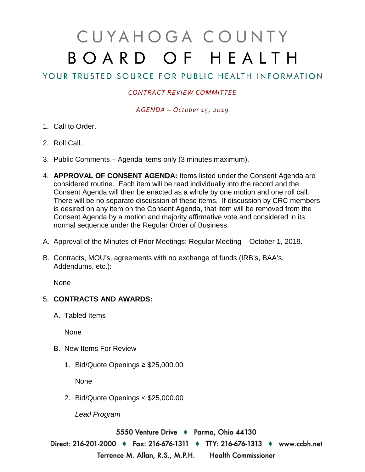# CUYAHOGA COUNTY BOARD OF HEALTH

## YOUR TRUSTED SOURCE FOR PUBLIC HEALTH INFORMATION

#### *CONTRACT REVIEW COMMITTEE*

#### *AGENDA – October 15, 2019*

- 1. Call to Order.
- 2. Roll Call.
- 3. Public Comments Agenda items only (3 minutes maximum).
- 4. **APPROVAL OF CONSENT AGENDA:** Items listed under the Consent Agenda are considered routine. Each item will be read individually into the record and the Consent Agenda will then be enacted as a whole by one motion and one roll call. There will be no separate discussion of these items. If discussion by CRC members is desired on any item on the Consent Agenda, that item will be removed from the Consent Agenda by a motion and majority affirmative vote and considered in its normal sequence under the Regular Order of Business.
- A. Approval of the Minutes of Prior Meetings: Regular Meeting October 1, 2019.
- B. Contracts, MOU's, agreements with no exchange of funds (IRB's, BAA's, Addendums, etc.):

None

### 5. **CONTRACTS AND AWARDS:**

A. Tabled Items

None

- B. New Items For Review
	- 1. Bid/Quote Openings ≥ \$25,000.00

None

2. Bid/Quote Openings < \$25,000.00

*Lead Program* 

5550 Venture Drive + Parma, Ohio 44130

Direct: 216-201-2000 ♦ Fax: 216-676-1311 ♦ TTY: 216-676-1313 ♦ www.ccbh.net Terrence M. Allan, R.S., M.P.H. Health Commissioner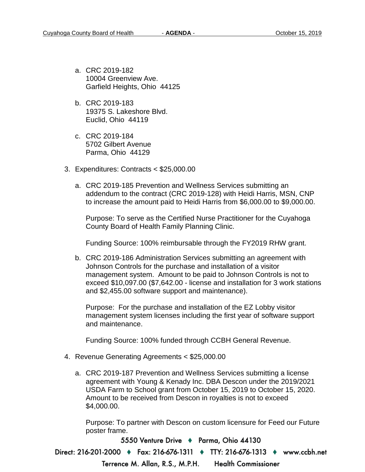- a. CRC 2019-182 10004 Greenview Ave. Garfield Heights, Ohio 44125
- b. CRC 2019-183 19375 S. Lakeshore Blvd. Euclid, Ohio 44119
- c. CRC 2019-184 5702 Gilbert Avenue Parma, Ohio 44129
- 3. Expenditures: Contracts < \$25,000.00
	- a. CRC 2019-185 Prevention and Wellness Services submitting an addendum to the contract (CRC 2019-128) with Heidi Harris, MSN, CNP to increase the amount paid to Heidi Harris from \$6,000.00 to \$9,000.00.

Purpose: To serve as the Certified Nurse Practitioner for the Cuyahoga County Board of Health Family Planning Clinic.

Funding Source: 100% reimbursable through the FY2019 RHW grant.

b. CRC 2019-186 Administration Services submitting an agreement with Johnson Controls for the purchase and installation of a visitor management system. Amount to be paid to Johnson Controls is not to exceed \$10,097.00 (\$7,642.00 - license and installation for 3 work stations and \$2,455.00 software support and maintenance).

Purpose: For the purchase and installation of the EZ Lobby visitor management system licenses including the first year of software support and maintenance.

Funding Source: 100% funded through CCBH General Revenue.

- 4. Revenue Generating Agreements < \$25,000.00
	- a. CRC 2019-187 Prevention and Wellness Services submitting a license agreement with Young & Kenady Inc. DBA Descon under the 2019/2021 USDA Farm to School grant from October 15, 2019 to October 15, 2020. Amount to be received from Descon in royalties is not to exceed \$4,000.00.

Purpose: To partner with Descon on custom licensure for Feed our Future poster frame.

5550 Venture Drive + Parma, Ohio 44130

Direct: 216-201-2000 • Fax: 216-676-1311 • TTY: 216-676-1313 • www.ccbh.net

Terrence M. Allan, R.S., M.P.H.

**Health Commissioner**